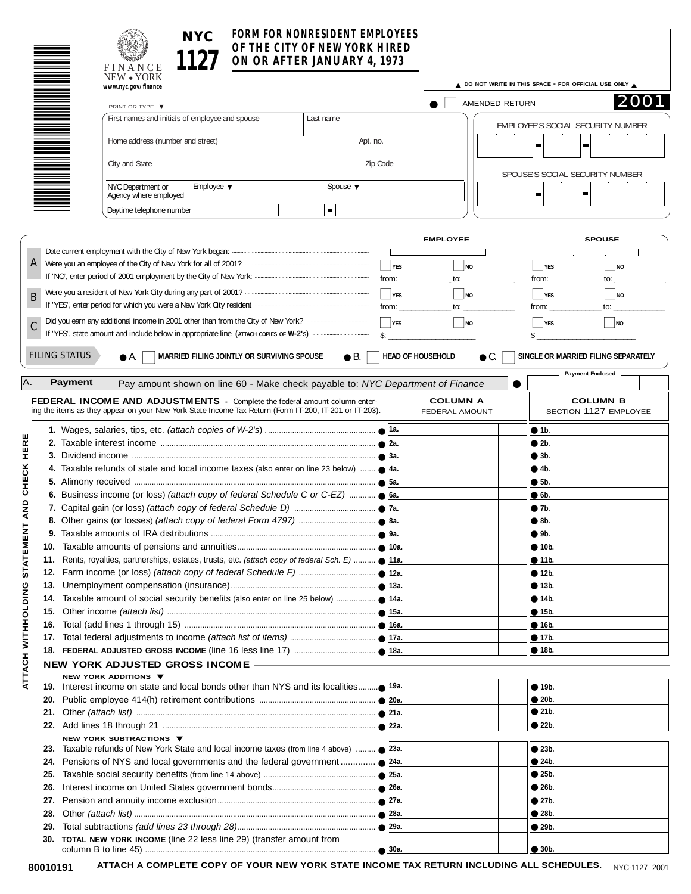| NYC. | FORM FOR NONRESIDENT EMPLOYEES                               |  |
|------|--------------------------------------------------------------|--|
| 1127 | OF THE CITY OF NEW YORK HIRED<br>ON OR AFTER JANUARY 4, 1973 |  |
|      |                                                              |  |

|                                                                                  |                 |                                                                                                                                                                                             | OF THE CITY OF NEW YORK HIRED<br>ON OR AFTER JANUARY 4, 1973 |                                    |                                   |                                          |  |  |
|----------------------------------------------------------------------------------|-----------------|---------------------------------------------------------------------------------------------------------------------------------------------------------------------------------------------|--------------------------------------------------------------|------------------------------------|-----------------------------------|------------------------------------------|--|--|
|                                                                                  |                 | FINANCE<br>NEW • YORK                                                                                                                                                                       |                                                              |                                    |                                   |                                          |  |  |
|                                                                                  |                 | www.nyc.gov/finance                                                                                                                                                                         | △ DO NOT WRITE IN THIS SPACE - FOR OFFICIAL USE ONLY △       |                                    |                                   |                                          |  |  |
|                                                                                  | PRINT OR TYPE ▼ |                                                                                                                                                                                             |                                                              |                                    | AMENDED RETURN                    | 2001                                     |  |  |
|                                                                                  |                 | First names and initials of employee and spouse                                                                                                                                             | Last name                                                    |                                    |                                   | EMPLOYEE'S SOCIAL SECURITY NUMBER        |  |  |
|                                                                                  |                 | Home address (number and street)                                                                                                                                                            | Apt. no.                                                     |                                    |                                   | $\blacksquare$<br>$\blacksquare$         |  |  |
| City and State<br>NYC Department or<br>Employee $\blacktriangledown$<br>Spouse ▼ |                 |                                                                                                                                                                                             |                                                              | Zip Code                           |                                   |                                          |  |  |
|                                                                                  |                 |                                                                                                                                                                                             |                                                              |                                    |                                   | SPOUSE'S SOCIAL SECURITY NUMBER          |  |  |
|                                                                                  |                 | Agency where employed                                                                                                                                                                       |                                                              |                                    |                                   | ▄<br>ш                                   |  |  |
|                                                                                  |                 | Daytime telephone number                                                                                                                                                                    |                                                              |                                    |                                   |                                          |  |  |
|                                                                                  |                 |                                                                                                                                                                                             |                                                              |                                    |                                   |                                          |  |  |
|                                                                                  |                 |                                                                                                                                                                                             |                                                              |                                    | <b>EMPLOYEE</b>                   | <b>SPOUSE</b>                            |  |  |
|                                                                                  |                 |                                                                                                                                                                                             |                                                              | $\Box$ YES                         | $\Box$ NO                         | $\overline{\phantom{a}}$ YES<br>$ $ NO   |  |  |
|                                                                                  |                 |                                                                                                                                                                                             |                                                              | from:                              | to:                               | to:<br>from:                             |  |  |
|                                                                                  |                 |                                                                                                                                                                                             |                                                              | $\Box$ YES                         | $\Box$ NO                         | $\Box$ YES                               |  |  |
| B                                                                                |                 |                                                                                                                                                                                             |                                                              | from:                              | to:                               | $\Box$ NO<br>from:<br>to:                |  |  |
|                                                                                  |                 |                                                                                                                                                                                             |                                                              |                                    |                                   |                                          |  |  |
|                                                                                  |                 |                                                                                                                                                                                             |                                                              | $\Box$ YES<br>$\hat{\mathbb{S}}$ : | NQ                                | $\Box$ YES<br>$\Box$ NO<br>\$            |  |  |
|                                                                                  |                 |                                                                                                                                                                                             |                                                              |                                    |                                   |                                          |  |  |
|                                                                                  |                 | <b>FILING STATUS</b><br>MARRIED FILING JOINTLY OR SURVIVING SPOUSE<br>● A.                                                                                                                  | $\bullet$ B.                                                 | <b>HEAD OF HOUSEHOLD</b>           | $\bullet$ C.                      | SINGLE OR MARRIED FILING SEPARATELY      |  |  |
|                                                                                  |                 |                                                                                                                                                                                             |                                                              |                                    |                                   | <b>Payment Enclosed</b>                  |  |  |
| AA.                                                                              |                 | <b>Payment</b><br>Pay amount shown on line 60 - Make check payable to: NYC Department of Finance                                                                                            |                                                              |                                    |                                   |                                          |  |  |
|                                                                                  |                 | <b>FEDERAL INCOME AND ADJUSTMENTS</b> - Complete the federal amount column enter-<br>ing the items as they appear on your New York State Income Tax Return (Form IT-200, IT-201 or IT-203). |                                                              |                                    | <b>COLUMN A</b><br>FEDERAL AMOUNT | <b>COLUMN B</b><br>SECTION 1127 EMPLOYEE |  |  |
|                                                                                  |                 |                                                                                                                                                                                             |                                                              |                                    |                                   | • 1b.                                    |  |  |
| HERE                                                                             |                 |                                                                                                                                                                                             |                                                              |                                    |                                   | • 2b.                                    |  |  |
|                                                                                  |                 |                                                                                                                                                                                             |                                                              |                                    |                                   | • 3b.                                    |  |  |
| CHECK                                                                            |                 | 4. Taxable refunds of state and local income taxes (also enter on line 23 below) $\bullet$ 4a.                                                                                              |                                                              |                                    |                                   | • 4b.                                    |  |  |
|                                                                                  |                 | 6. Business income (or loss) (attach copy of federal Schedule C or C-EZ) $\bullet$ 6a.                                                                                                      |                                                              |                                    |                                   | • 5b.<br>$\bullet$ 6b.                   |  |  |
|                                                                                  |                 |                                                                                                                                                                                             |                                                              |                                    |                                   | • 7b.                                    |  |  |
|                                                                                  |                 |                                                                                                                                                                                             |                                                              |                                    | $\bullet$ 8b.                     |                                          |  |  |
|                                                                                  |                 |                                                                                                                                                                                             |                                                              |                                    | 9b.                               |                                          |  |  |
| <b>STATEMENT AND</b>                                                             |                 |                                                                                                                                                                                             |                                                              |                                    |                                   | • 10b.                                   |  |  |
|                                                                                  |                 | 11. Rents, royalties, partnerships, estates, trusts, etc. (attach copy of federal Sch. E)  11a.                                                                                             |                                                              |                                    |                                   | • 11b.                                   |  |  |
|                                                                                  | 12.             |                                                                                                                                                                                             |                                                              |                                    |                                   | • 12b.                                   |  |  |
| ပ                                                                                | 13.             |                                                                                                                                                                                             |                                                              |                                    | • 13b.                            |                                          |  |  |
|                                                                                  | 14.             |                                                                                                                                                                                             |                                                              |                                    |                                   | • 14b.                                   |  |  |
|                                                                                  | 15.             |                                                                                                                                                                                             |                                                              |                                    |                                   | • 15b.                                   |  |  |
|                                                                                  | 16.             |                                                                                                                                                                                             |                                                              |                                    |                                   | • 16b.                                   |  |  |
|                                                                                  |                 |                                                                                                                                                                                             |                                                              |                                    |                                   | • 17b.                                   |  |  |
|                                                                                  |                 |                                                                                                                                                                                             |                                                              | • 18b.                             |                                   |                                          |  |  |
|                                                                                  |                 | <b>NEW YORK ADJUSTED GROSS INCOME -</b><br>NEW YORK ADDITIONS ▼                                                                                                                             |                                                              |                                    |                                   |                                          |  |  |
| ATTACH WITHHOLDIN                                                                |                 |                                                                                                                                                                                             |                                                              |                                    |                                   | • 19b.                                   |  |  |
|                                                                                  | 20.             |                                                                                                                                                                                             |                                                              |                                    |                                   | • 20b.                                   |  |  |
|                                                                                  |                 |                                                                                                                                                                                             |                                                              |                                    |                                   | $\bullet$ 21b.                           |  |  |
|                                                                                  |                 |                                                                                                                                                                                             |                                                              |                                    |                                   | $\bullet$ 22b.                           |  |  |
|                                                                                  |                 | NEW YORK SUBTRACTIONS ▼<br>23. Taxable refunds of New York State and local income taxes (from line 4 above)  • 23a.                                                                         |                                                              |                                    |                                   | • 23b.                                   |  |  |
|                                                                                  | 24.             | Pensions of NYS and local governments and the federal government  ● 24a.                                                                                                                    |                                                              |                                    |                                   | $\bullet$ 24b.                           |  |  |
|                                                                                  | 25.             |                                                                                                                                                                                             |                                                              |                                    |                                   | • 25b.                                   |  |  |
|                                                                                  | 26.             |                                                                                                                                                                                             |                                                              |                                    |                                   | • 26b.                                   |  |  |
|                                                                                  | 27.             |                                                                                                                                                                                             |                                                              |                                    |                                   | • 27b.                                   |  |  |
|                                                                                  | 28.             |                                                                                                                                                                                             |                                                              |                                    |                                   | • 28b.                                   |  |  |
|                                                                                  | 29.             |                                                                                                                                                                                             |                                                              |                                    |                                   | • 29b.                                   |  |  |
|                                                                                  |                 | 30. TOTAL NEW YORK INCOME (line 22 less line 29) (transfer amount from                                                                                                                      |                                                              |                                    |                                   | • 30b.                                   |  |  |
|                                                                                  |                 |                                                                                                                                                                                             |                                                              |                                    |                                   |                                          |  |  |

80010191 ATTACH A COMPLETE COPY OF YOUR NEW YORK STATE INCOME TAX RETURN INCLUDING ALL SCHEDULES. <sub>NYC-1127 2001</sub>